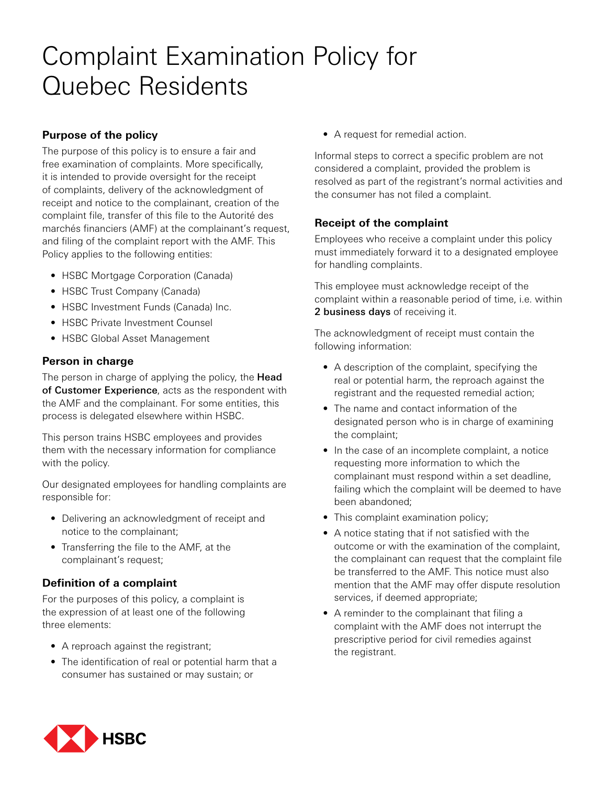# Complaint Examination Policy for Quebec Residents

## **Purpose of the policy**

The purpose of this policy is to ensure a fair and free examination of complaints. More specifically, it is intended to provide oversight for the receipt of complaints, delivery of the acknowledgment of receipt and notice to the complainant, creation of the complaint file, transfer of this file to the Autorité des marchés financiers (AMF) at the complainant's request, and filing of the complaint report with the AMF. This Policy applies to the following entities:

- HSBC Mortgage Corporation (Canada)
- HSBC Trust Company (Canada)
- HSBC Investment Funds (Canada) Inc.
- HSBC Private Investment Counsel
- HSBC Global Asset Management

#### **Person in charge**

The person in charge of applying the policy, the Head of Customer Experience, acts as the respondent with the AMF and the complainant. For some entities, this process is delegated elsewhere within HSBC.

This person trains HSBC employees and provides them with the necessary information for compliance with the policy.

Our designated employees for handling complaints are responsible for:

- Delivering an acknowledgment of receipt and notice to the complainant;
- Transferring the file to the AMF, at the complainant's request;

#### **Definition of a complaint**

For the purposes of this policy, a complaint is the expression of at least one of the following three elements:

- A reproach against the registrant;
- The identification of real or potential harm that a consumer has sustained or may sustain; or

• A request for remedial action.

Informal steps to correct a specific problem are not considered a complaint, provided the problem is resolved as part of the registrant's normal activities and the consumer has not filed a complaint.

## **Receipt of the complaint**

Employees who receive a complaint under this policy must immediately forward it to a designated employee for handling complaints.

This employee must acknowledge receipt of the complaint within a reasonable period of time, i.e. within 2 business days of receiving it.

The acknowledgment of receipt must contain the following information:

- A description of the complaint, specifying the real or potential harm, the reproach against the registrant and the requested remedial action;
- The name and contact information of the designated person who is in charge of examining the complaint;
- In the case of an incomplete complaint, a notice requesting more information to which the complainant must respond within a set deadline, failing which the complaint will be deemed to have been abandoned;
- This complaint examination policy;
- A notice stating that if not satisfied with the outcome or with the examination of the complaint, the complainant can request that the complaint file be transferred to the AMF. This notice must also mention that the AMF may offer dispute resolution services, if deemed appropriate;
- A reminder to the complainant that filing a complaint with the AMF does not interrupt the prescriptive period for civil remedies against the registrant.